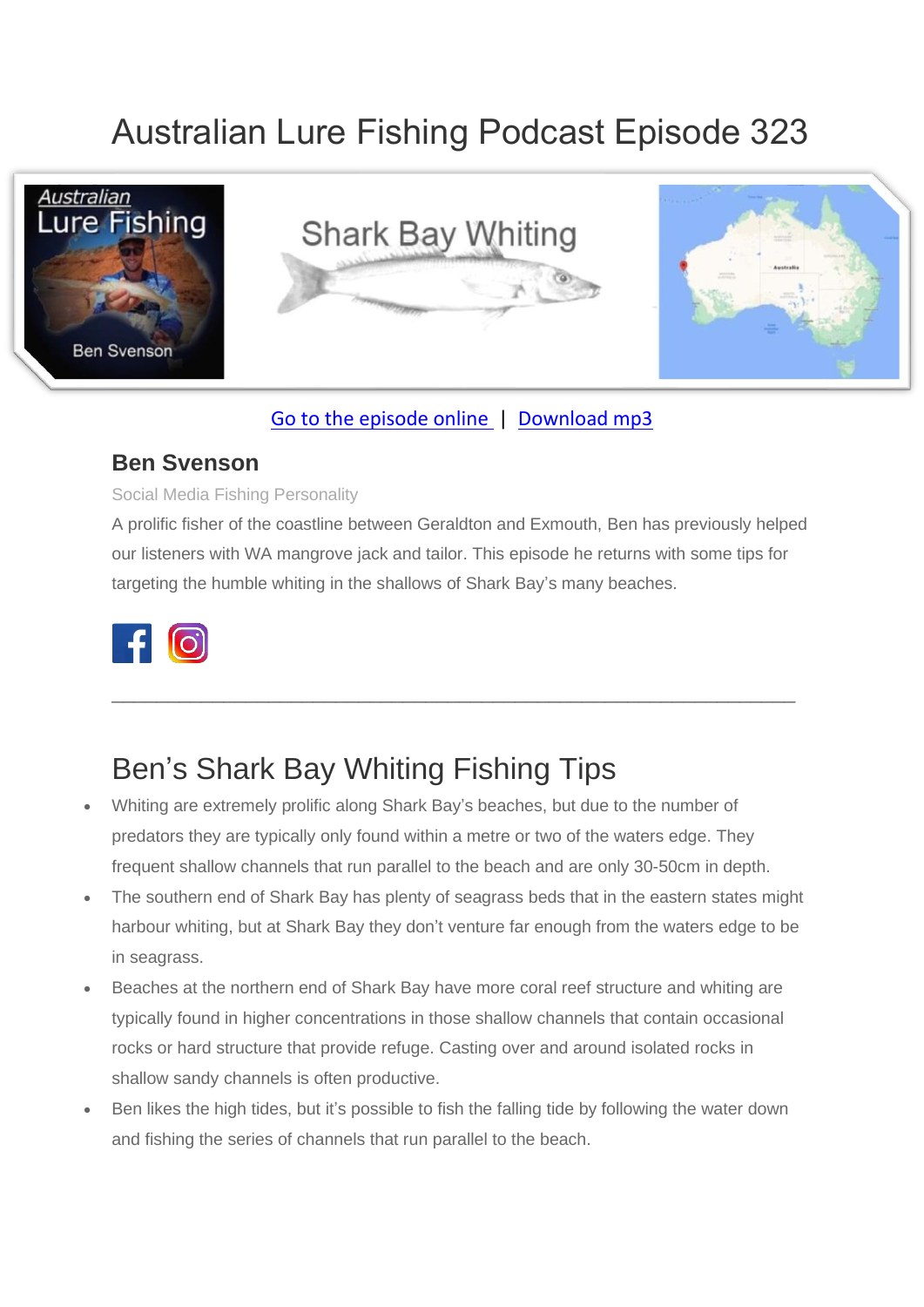# Australian Lure Fishing Podcast Episode 323



### [Go to the episode online](https://doclures.com/shark-bay-whiting-ben-svenson/) | [Download mp3](https://traffic.libsyn.com/secure/doclures/shark-bay-whiting-ben-svenson.mp3)

### **Ben Svenson**

#### Social Media Fishing Personality

A prolific fisher of the coastline between Geraldton and Exmouth, Ben has previously helped our listeners with WA mangrove jack and tailor. This episode he returns with some tips for targeting the humble whiting in the shallows of Shark Bay's many beaches.

\_\_\_\_\_\_\_\_\_\_\_\_\_\_\_\_\_\_\_\_\_\_\_\_\_\_\_\_\_\_\_\_\_\_\_\_\_\_\_\_\_\_\_\_\_\_\_\_\_\_\_\_\_\_\_\_\_\_\_\_\_



### Ben's Shark Bay Whiting Fishing Tips

- Whiting are extremely prolific along Shark Bay's beaches, but due to the number of predators they are typically only found within a metre or two of the waters edge. They frequent shallow channels that run parallel to the beach and are only 30-50cm in depth.
- The southern end of Shark Bay has plenty of seagrass beds that in the eastern states might harbour whiting, but at Shark Bay they don't venture far enough from the waters edge to be in seagrass.
- Beaches at the northern end of Shark Bay have more coral reef structure and whiting are typically found in higher concentrations in those shallow channels that contain occasional rocks or hard structure that provide refuge. Casting over and around isolated rocks in shallow sandy channels is often productive.
- Ben likes the high tides, but it's possible to fish the falling tide by following the water down and fishing the series of channels that run parallel to the beach.